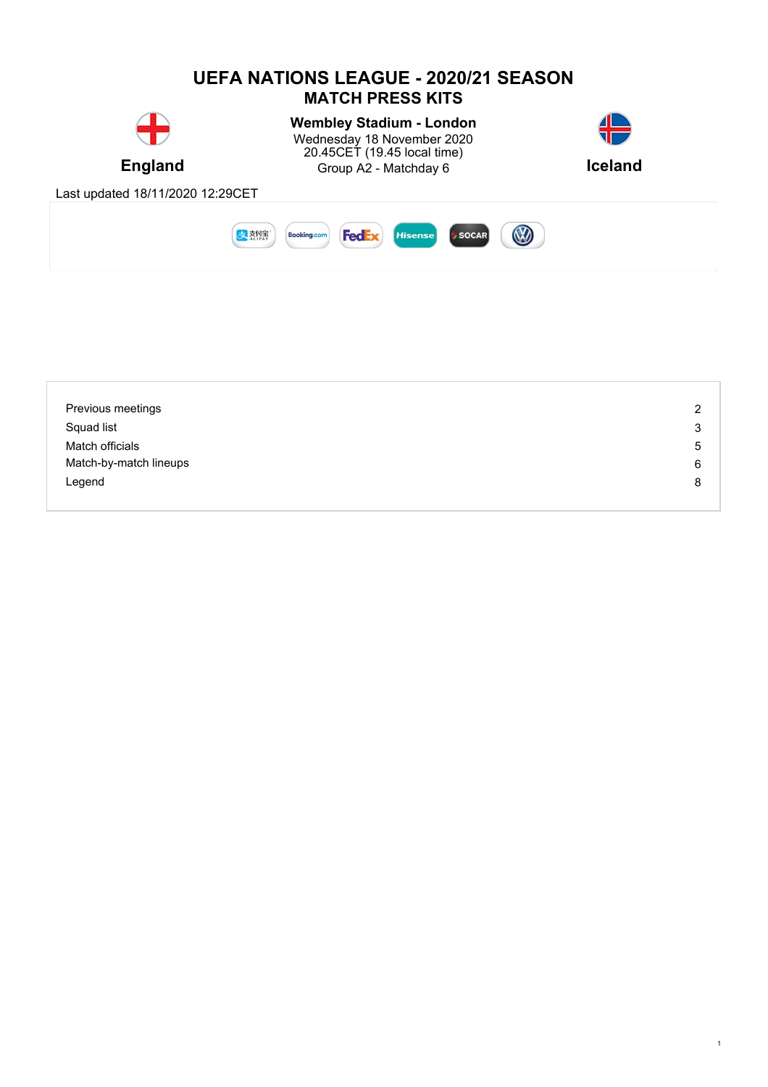

| Previous meetings      | $\overline{c}$ |
|------------------------|----------------|
| Squad list             | 3              |
| Match officials        | 5              |
| Match-by-match lineups | 6              |
| Legend                 | 8              |
|                        |                |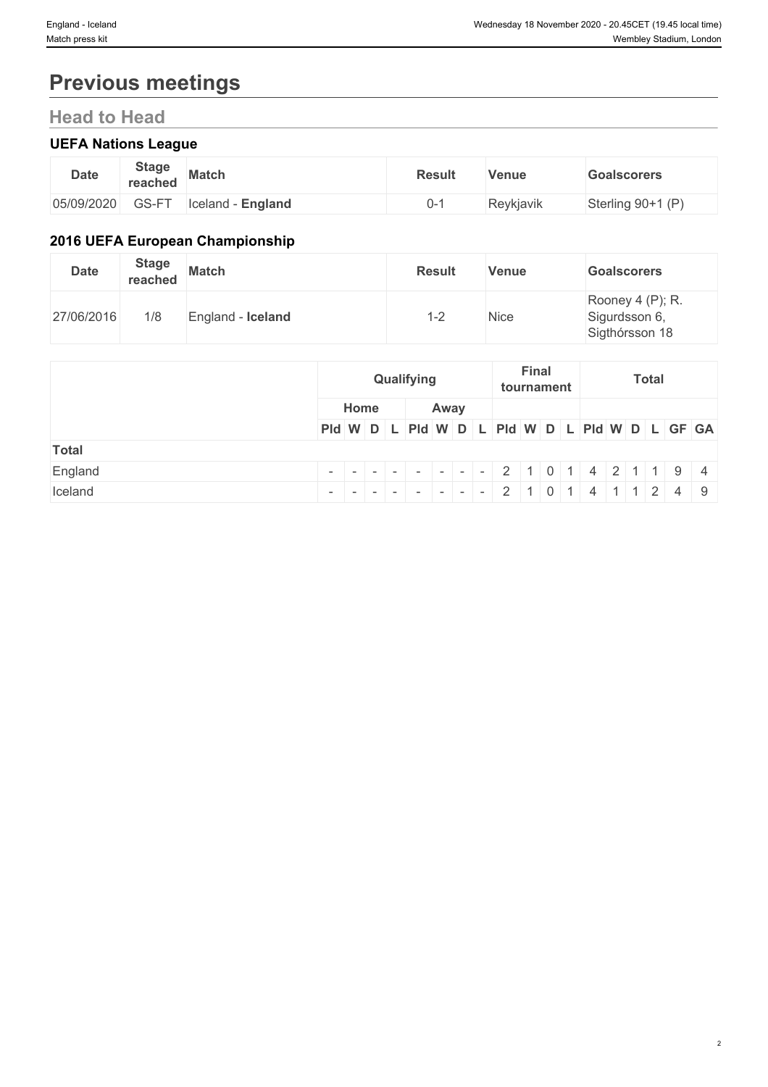# **Previous meetings**

# **Head to Head**

## **UEFA Nations League**

| <b>Date</b> | <b>Stage</b><br>reached | <b>Match</b>              | <b>Result</b> | Venue     | Goalscorers         |
|-------------|-------------------------|---------------------------|---------------|-----------|---------------------|
| 05/09/2020  | $\cap$ $\cap$ $\Gamma$  | Iceland<br><b>England</b> |               | Reykjavik | Sterling $90+1$ (P) |

## **2016 UEFA European Championship**

| <b>Date</b> | <b>Stage</b><br>reached | <b>Match</b>      | <b>Result</b> | Venue | <b>Goalscorers</b>                                  |
|-------------|-------------------------|-------------------|---------------|-------|-----------------------------------------------------|
| 27/06/2016  | 1/8                     | England - Iceland | . - 2         | Nice  | Rooney 4 (P); R.<br>Sigurdsson 6,<br>Sigthórsson 18 |

|         | <b>Final</b><br>Qualifying<br>tournament      | <b>Total</b> |  |  |
|---------|-----------------------------------------------|--------------|--|--|
|         | Home<br>Away                                  |              |  |  |
|         | PId W D L PId W D L PId W D L PId W D L GF GA |              |  |  |
| Total   |                                               |              |  |  |
| England |                                               |              |  |  |
| Iceland | 2 1 0 1 4 1 1 2 4 9                           |              |  |  |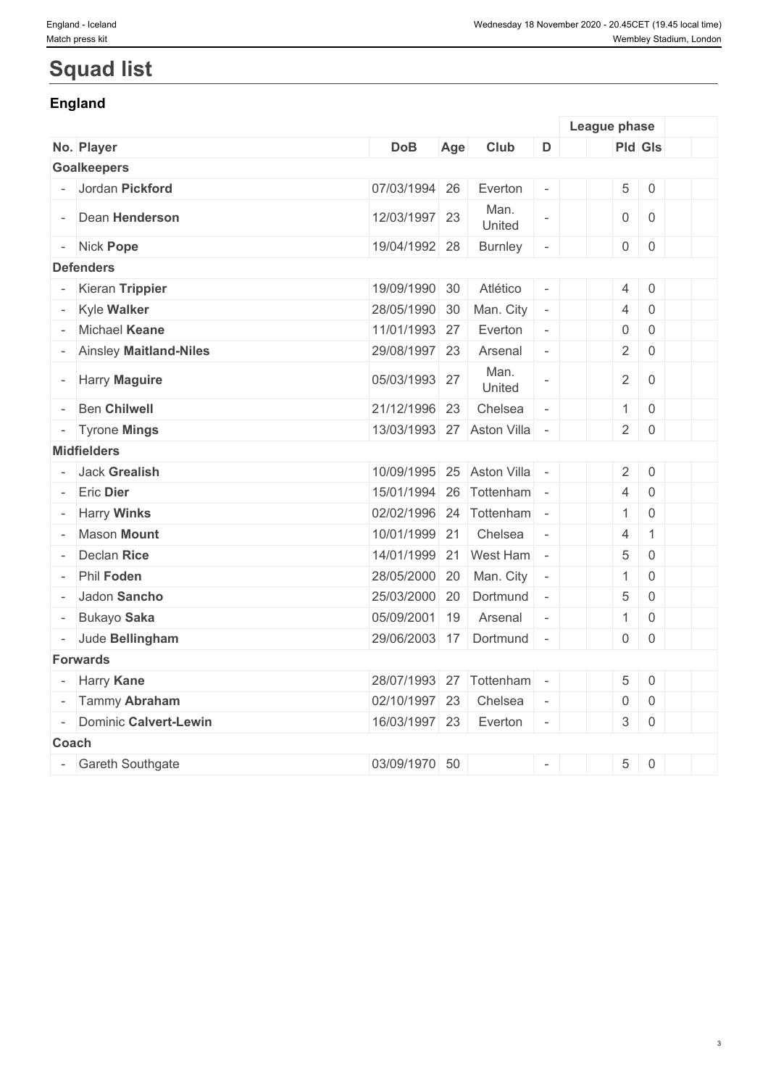# **Squad list**

## **England**

|                          |                          |                           |     |                |                          | League phase        |                     |  |
|--------------------------|--------------------------|---------------------------|-----|----------------|--------------------------|---------------------|---------------------|--|
|                          | No. Player               | <b>DoB</b>                | Age | Club           | D                        |                     | <b>Pld Gls</b>      |  |
|                          | <b>Goalkeepers</b>       |                           |     |                |                          |                     |                     |  |
|                          | - Jordan Pickford        | 07/03/1994 26             |     | Everton        |                          | 5                   | $\mathsf 0$         |  |
|                          | Dean Henderson           | 12/03/1997 23             |     | Man.<br>United |                          | $\overline{0}$      | $\overline{0}$      |  |
|                          | - Nick Pope              | 19/04/1992 28             |     | <b>Burnley</b> | $\overline{\phantom{a}}$ | $\overline{0}$      | $\mathsf 0$         |  |
|                          | <b>Defenders</b>         |                           |     |                |                          |                     |                     |  |
|                          | - Kieran Trippier        | 19/09/1990 30             |     | Atlético       | $\overline{\phantom{a}}$ | 4                   | $\mathsf 0$         |  |
|                          | Kyle Walker              | 28/05/1990 30             |     | Man. City      | $\overline{\phantom{a}}$ | $\overline{4}$      | $\mathbf 0$         |  |
|                          | Michael Keane            | 11/01/1993 27             |     | Everton        | $\overline{\phantom{a}}$ | $\overline{0}$      | $\mathbf 0$         |  |
|                          | - Ainsley Maitland-Niles | 29/08/1997 23             |     | Arsenal        | $\overline{\phantom{a}}$ | $\overline{2}$      | $\overline{0}$      |  |
|                          | <b>Harry Maguire</b>     | 05/03/1993 27             |     | Man.<br>United |                          | $\overline{2}$      | $\mathsf 0$         |  |
|                          | <b>Ben Chilwell</b>      | 21/12/1996 23             |     | Chelsea        | $\bar{\phantom{a}}$      | 1                   | $\mathsf 0$         |  |
|                          | - Tyrone Mings           | 13/03/1993 27 Aston Villa |     |                | $\sim$                   | $\overline{2}$      | $\overline{0}$      |  |
|                          | <b>Midfielders</b>       |                           |     |                |                          |                     |                     |  |
|                          | Jack Grealish            | 10/09/1995 25 Aston Villa |     |                |                          | $2 \mid$            | $\mathsf 0$         |  |
|                          | <b>Eric Dier</b>         | 15/01/1994 26 Tottenham   |     |                | $\overline{\phantom{a}}$ | $\overline{4}$      | $\mathsf{O}\xspace$ |  |
|                          | <b>Harry Winks</b>       | 02/02/1996 24 Tottenham   |     |                | $\sim$                   | $\mathbf{1}$        | $\mathbf 0$         |  |
|                          | <b>Mason Mount</b>       | 10/01/1999 21             |     | Chelsea        | $\overline{\phantom{a}}$ | 4                   | $\mathbf{1}$        |  |
|                          | Declan Rice              | 14/01/1999 21 West Ham    |     |                | $\overline{\phantom{a}}$ | 5                   | $\mathsf 0$         |  |
|                          | Phil Foden               | 28/05/2000 20 Man. City   |     |                | $\overline{\phantom{a}}$ | $\mathbf{1}$        | $\mathsf{O}\xspace$ |  |
|                          | Jadon Sancho             | 25/03/2000 20             |     | Dortmund       | $\overline{\phantom{a}}$ | 5                   | $\mathsf{O}\xspace$ |  |
|                          | Bukayo Saka              | 05/09/2001 19             |     | Arsenal        | $\overline{\phantom{a}}$ | 1                   | $\mathsf 0$         |  |
|                          | - Jude Bellingham        | 29/06/2003 17 Dortmund    |     |                | $\sim$                   | $\overline{0}$      | $\overline{0}$      |  |
|                          | <b>Forwards</b>          |                           |     |                |                          |                     |                     |  |
|                          | <b>Harry Kane</b>        | 28/07/1993 27 Tottenham   |     |                | $\sim$                   | 5                   | $\mathsf 0$         |  |
|                          | Tammy Abraham            | 02/10/1997 23             |     | Chelsea        | $\overline{\phantom{a}}$ | $\mathsf{O}\xspace$ | $\mathsf{O}\xspace$ |  |
| $\overline{\phantom{a}}$ | Dominic Calvert-Lewin    | 16/03/1997 23             |     | Everton        | $\overline{\phantom{a}}$ |                     | $3 \mid 0$          |  |
|                          | <b>Coach</b>             |                           |     |                |                          |                     |                     |  |
|                          | - Gareth Southgate       | 03/09/1970 50             |     |                | $\overline{\phantom{a}}$ | 5                   | $\mathsf 0$         |  |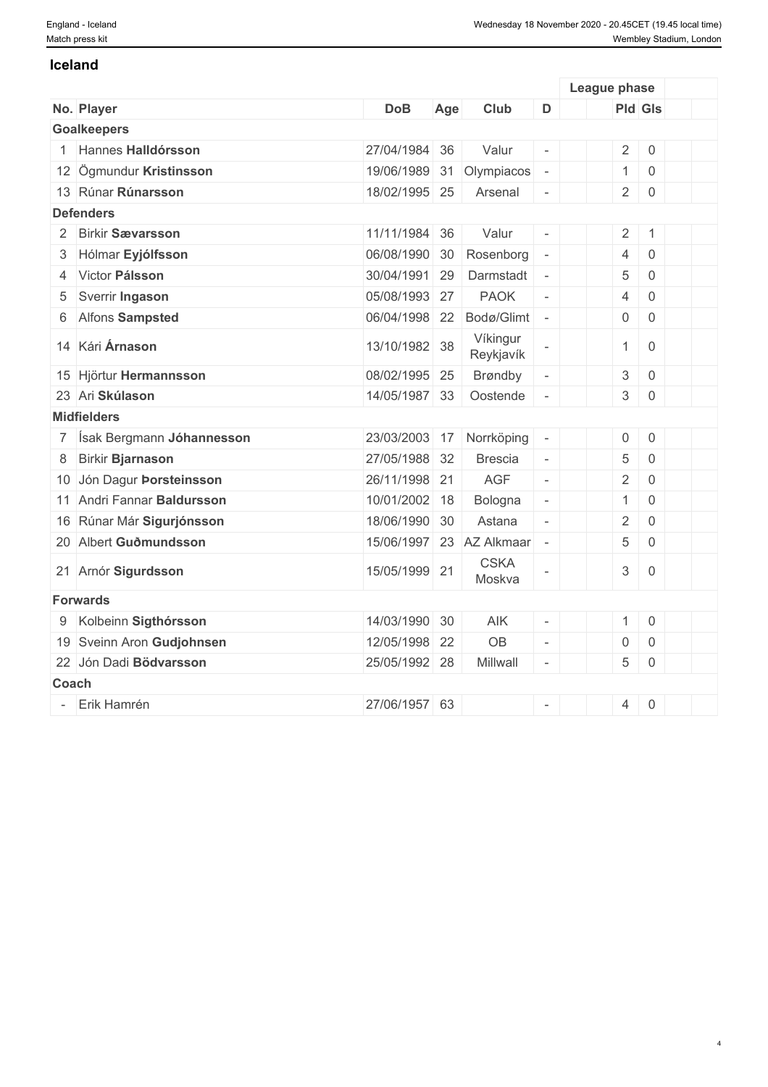#### **Iceland**

|              |                             |               |     |                          |                          | League phase              |                |  |
|--------------|-----------------------------|---------------|-----|--------------------------|--------------------------|---------------------------|----------------|--|
|              | No. Player                  | <b>DoB</b>    | Age | Club                     | D                        |                           | <b>Pld Gls</b> |  |
|              | <b>Goalkeepers</b>          |               |     |                          |                          |                           |                |  |
|              | Hannes Halldórsson          | 27/04/1984 36 |     | Valur                    | $\overline{\phantom{a}}$ | $\overline{2}$            | $\mathbf 0$    |  |
|              | 12 Ögmundur Kristinsson     | 19/06/1989 31 |     | Olympiacos               | $\overline{\phantom{a}}$ | $\mathbf{1}$              | $\mathbf 0$    |  |
|              | 13 Rúnar Rúnarsson          | 18/02/1995 25 |     | Arsenal                  | $\overline{\phantom{a}}$ | $\overline{2}$            | $\mathbf 0$    |  |
|              | <b>Defenders</b>            |               |     |                          |                          |                           |                |  |
|              | 2 Birkir Sævarsson          | 11/11/1984 36 |     | Valur                    | $\overline{a}$           | $\overline{2}$            | $\overline{1}$ |  |
|              | 3 Hólmar Eyjólfsson         | 06/08/1990 30 |     | Rosenborg                | $\overline{\phantom{a}}$ | $\overline{4}$            | $\overline{0}$ |  |
|              | 4 Victor Pálsson            | 30/04/1991 29 |     | Darmstadt                | $\bar{a}$                | 5                         | $\mathbf 0$    |  |
| 5            | Sverrir Ingason             | 05/08/1993 27 |     | <b>PAOK</b>              | $\overline{\phantom{a}}$ | $\overline{4}$            | $\overline{0}$ |  |
| 6            | <b>Alfons Sampsted</b>      | 06/04/1998 22 |     | Bodø/Glimt               | $\equiv$                 | $\boldsymbol{0}$          | $\mathbf 0$    |  |
|              | 14 Kári Árnason             | 13/10/1982 38 |     | Víkingur<br>Reykjavík    |                          | $\mathbf{1}$              | $\overline{0}$ |  |
|              | 15 Hjörtur Hermannsson      | 08/02/1995 25 |     | Brøndby                  |                          | $\ensuremath{\mathsf{3}}$ | $\mathbf 0$    |  |
|              | 23 Ari Skúlason             | 14/05/1987 33 |     | Oostende                 |                          | $\mathfrak{S}$            | $\mathbf 0$    |  |
|              | <b>Midfielders</b>          |               |     |                          |                          |                           |                |  |
|              | 7 Ísak Bergmann Jóhannesson | 23/03/2003 17 |     | Norrköping               | $\bar{\phantom{a}}$      | $\mathsf{O}\xspace$       | $\mathbf 0$    |  |
| 8            | <b>Birkir Bjarnason</b>     | 27/05/1988 32 |     | <b>Brescia</b>           | $\overline{\phantom{a}}$ | $\sqrt{5}$                | $\mathbf 0$    |  |
|              | 10 Jón Dagur Þorsteinsson   | 26/11/1998 21 |     | <b>AGF</b>               | $\mathcal{L}$            | $\overline{2}$            | $\overline{0}$ |  |
|              | 11 Andri Fannar Baldursson  | 10/01/2002 18 |     | Bologna                  | $\equiv$                 | $\mathbf{1}$              | $\overline{0}$ |  |
|              | 16 Rúnar Már Sigurjónsson   | 18/06/1990 30 |     | Astana                   | $\overline{a}$           | $\overline{2}$            | $\mathbf 0$    |  |
|              | 20 Albert Guðmundsson       |               |     | 15/06/1997 23 AZ Alkmaar | $\overline{\phantom{a}}$ | 5                         | $\overline{0}$ |  |
|              | 21 Arnór Sigurdsson         | 15/05/1999 21 |     | <b>CSKA</b><br>Moskva    |                          | $\mathfrak 3$             | $\overline{0}$ |  |
|              | <b>Forwards</b>             |               |     |                          |                          |                           |                |  |
| 9            | Kolbeinn Sigthórsson        | 14/03/1990 30 |     | AIK                      |                          | $\mathbf{1}$              | $\,0\,$        |  |
|              | 19 Sveinn Aron Gudjohnsen   | 12/05/1998 22 |     | OB                       | $\mathcal{L}$            | $\boldsymbol{0}$          | $\,0\,$        |  |
|              | 22 Jón Dadi Bödvarsson      | 25/05/1992 28 |     | Millwall                 | $\bar{a}$                | 5                         | $\mathbf 0$    |  |
| <b>Coach</b> |                             |               |     |                          |                          |                           |                |  |
|              | Erik Hamrén                 | 27/06/1957 63 |     |                          |                          | $\overline{4}$            | $\mathbf 0$    |  |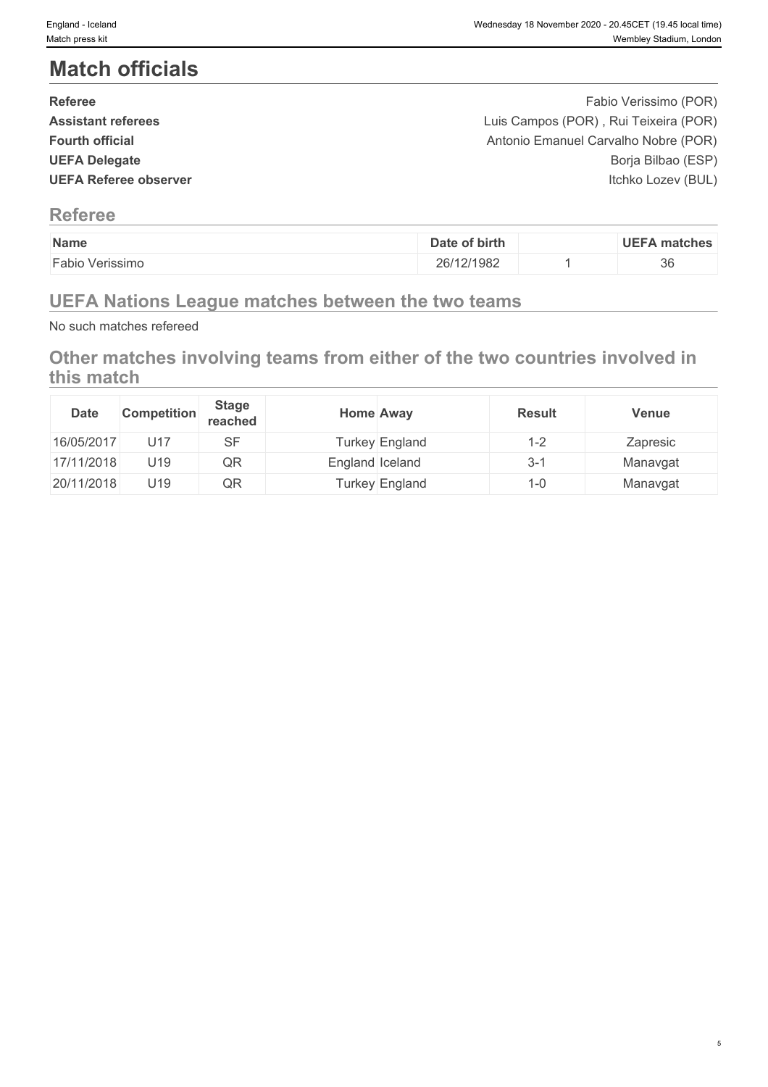# **Match officials**

| <b>Referee</b>               | Fabio Verissimo (POR)                 |  |
|------------------------------|---------------------------------------|--|
| <b>Assistant referees</b>    | Luis Campos (POR), Rui Teixeira (POR) |  |
| <b>Fourth official</b>       | Antonio Emanuel Carvalho Nobre (POR)  |  |
| <b>UEFA Delegate</b>         | Borja Bilbao (ESP)                    |  |
| <b>UEFA Referee observer</b> | Itchko Lozev (BUL)                    |  |
|                              |                                       |  |
|                              |                                       |  |

## **Referee**

| Name            | Date of birth | <b>UEFA matches</b> |
|-----------------|---------------|---------------------|
| Fabio Verissimo | 26/12/1982    | 36                  |

# **UEFA Nations League matches between the two teams**

No such matches refereed

## **Other matches involving teams from either of the two countries involved in this match**

| <b>Date</b> | <b>Competition</b> | <b>Stage</b><br>reached | <b>Home Away</b> |                | <b>Result</b> | <b>Venue</b> |
|-------------|--------------------|-------------------------|------------------|----------------|---------------|--------------|
| 16/05/2017  | U17                | SF                      |                  | Turkey England | I-2           | Zapresic     |
| 17/11/2018  | U19                | QR                      | England Iceland  |                | $3 - 1$       | Manavgat     |
| 20/11/2018  | U19                | QR                      |                  | Turkey England | i -0          | Manavgat     |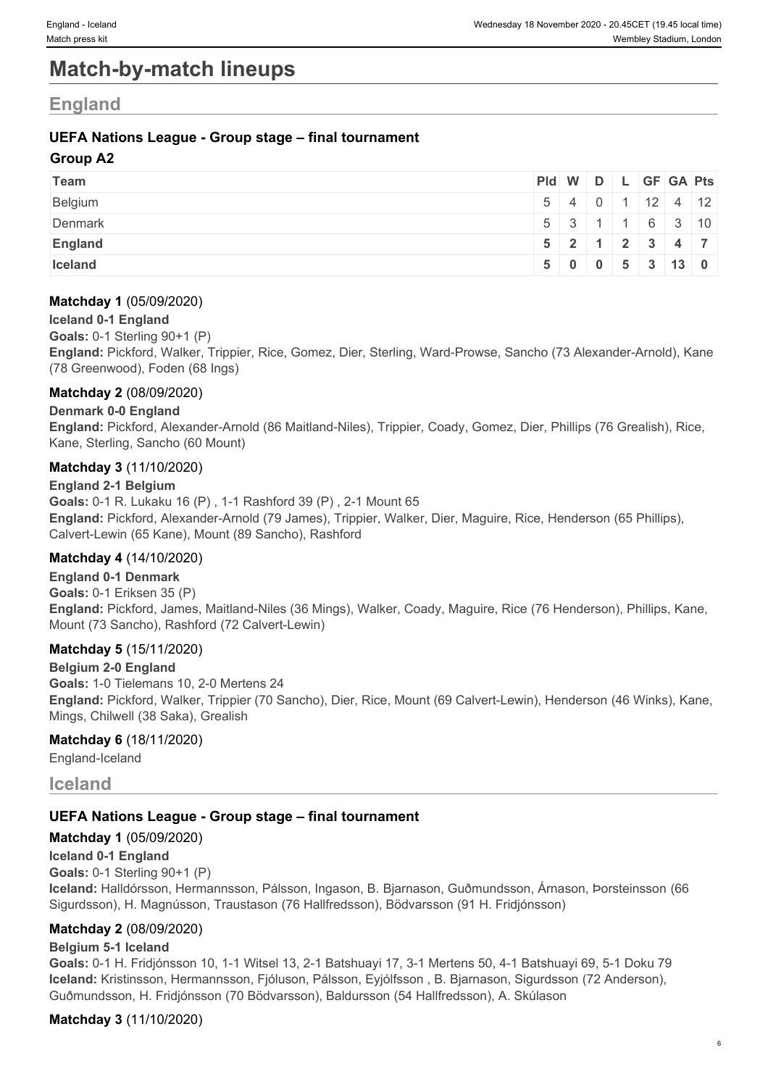# **Match-by-match lineups**

## **England**

## **UEFA Nations League - Group stage – final tournament**

### **Group A2**

| Team           |  |  | Pid W D L GF GA Pts                                  |  |
|----------------|--|--|------------------------------------------------------|--|
| Belgium        |  |  | $5 \mid 4 \mid 0 \mid 1 \mid 12 \mid 4 \mid 12 \mid$ |  |
| Denmark        |  |  | 5 3 1 1 6 3 10                                       |  |
| <b>England</b> |  |  | $5$   2   1   2   3   4   7                          |  |
| Iceland        |  |  | 5 0 0 5 3 13 0                                       |  |

### **Matchday 1** (05/09/2020)

#### **Iceland 0-1 England**

**Goals:** 0-1 Sterling 90+1 (P)

**England:** Pickford, Walker, Trippier, Rice, Gomez, Dier, Sterling, Ward-Prowse, Sancho (73 Alexander-Arnold), Kane (78 Greenwood), Foden (68 Ings)

### **Matchday 2** (08/09/2020)

### **Denmark 0-0 England**

**England:** Pickford, Alexander-Arnold (86 Maitland-Niles), Trippier, Coady, Gomez, Dier, Phillips (76 Grealish), Rice, Kane, Sterling, Sancho (60 Mount)

### **Matchday 3** (11/10/2020)

**England 2-1 Belgium**

**Goals:** 0-1 R. Lukaku 16 (P) , 1-1 Rashford 39 (P) , 2-1 Mount 65 **England:** Pickford, Alexander-Arnold (79 James), Trippier, Walker, Dier, Maguire, Rice, Henderson (65 Phillips), Calvert-Lewin (65 Kane), Mount (89 Sancho), Rashford

### **Matchday 4** (14/10/2020)

**England 0-1 Denmark Goals:** 0-1 Eriksen 35 (P) **England:** Pickford, James, Maitland-Niles (36 Mings), Walker, Coady, Maguire, Rice (76 Henderson), Phillips, Kane, Mount (73 Sancho), Rashford (72 Calvert-Lewin)

### **Matchday 5** (15/11/2020)

**Belgium 2-0 England Goals:** 1-0 Tielemans 10, 2-0 Mertens 24 **England:** Pickford, Walker, Trippier (70 Sancho), Dier, Rice, Mount (69 Calvert-Lewin), Henderson (46 Winks), Kane, Mings, Chilwell (38 Saka), Grealish

### **Matchday 6** (18/11/2020)

England-Iceland

## **Iceland**

### **UEFA Nations League - Group stage – final tournament**

### **Matchday 1** (05/09/2020)

#### **Iceland 0-1 England**

**Goals:** 0-1 Sterling 90+1 (P)

**Iceland:** Halldórsson, Hermannsson, Pálsson, Ingason, B. Bjarnason, Guðmundsson, Árnason, Þorsteinsson (66 Sigurdsson), H. Magnússon, Traustason (76 Hallfredsson), Bödvarsson (91 H. Fridjónsson)

### **Matchday 2** (08/09/2020)

### **Belgium 5-1 Iceland**

**Goals:** 0-1 H. Fridjónsson 10, 1-1 Witsel 13, 2-1 Batshuayi 17, 3-1 Mertens 50, 4-1 Batshuayi 69, 5-1 Doku 79 **Iceland:** Kristinsson, Hermannsson, Fjóluson, Pálsson, Eyjólfsson , B. Bjarnason, Sigurdsson (72 Anderson), Guðmundsson, H. Fridjónsson (70 Bödvarsson), Baldursson (54 Hallfredsson), A. Skúlason

### **Matchday 3** (11/10/2020)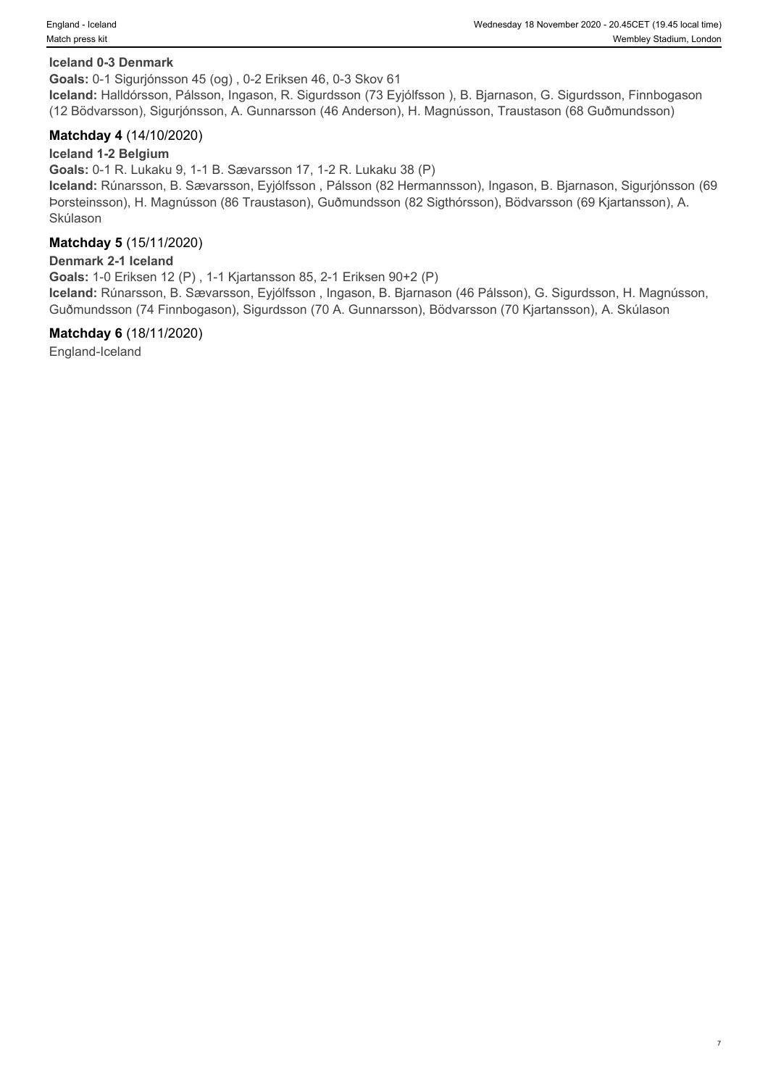#### **Iceland 0-3 Denmark**

**Goals:** 0-1 Sigurjónsson 45 (og) , 0-2 Eriksen 46, 0-3 Skov 61

**Iceland:** Halldórsson, Pálsson, Ingason, R. Sigurdsson (73 Eyjólfsson ), B. Bjarnason, G. Sigurdsson, Finnbogason (12 Bödvarsson), Sigurjónsson, A. Gunnarsson (46 Anderson), H. Magnússon, Traustason (68 Guðmundsson)

#### **Matchday 4** (14/10/2020)

#### **Iceland 1-2 Belgium**

**Goals:** 0-1 R. Lukaku 9, 1-1 B. Sævarsson 17, 1-2 R. Lukaku 38 (P)

**Iceland:** Rúnarsson, B. Sævarsson, Eyjólfsson , Pálsson (82 Hermannsson), Ingason, B. Bjarnason, Sigurjónsson (69 Þorsteinsson), H. Magnússon (86 Traustason), Guðmundsson (82 Sigthórsson), Bödvarsson (69 Kjartansson), A. Skúlason

#### **Matchday 5** (15/11/2020)

#### **Denmark 2-1 Iceland**

**Goals:** 1-0 Eriksen 12 (P) , 1-1 Kjartansson 85, 2-1 Eriksen 90+2 (P)

**Iceland:** Rúnarsson, B. Sævarsson, Eyjólfsson , Ingason, B. Bjarnason (46 Pálsson), G. Sigurdsson, H. Magnússon, Guðmundsson (74 Finnbogason), Sigurdsson (70 A. Gunnarsson), Bödvarsson (70 Kjartansson), A. Skúlason

#### **Matchday 6** (18/11/2020)

England-Iceland